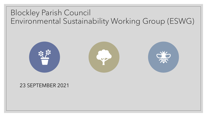#### Blockley Parish Council Environmental Sustainability Working Group (ESWG)



#### 23 SEPTEMBER 2021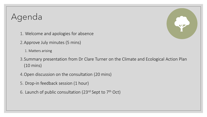# Agenda

- 1. Welcome and apologies for absence
- 2.Approve July minutes (5 mins)
	- 1. Matters arising
- 3.Summary presentation from Dr Clare Turner on the Climate and Ecological Action Plan (10 mins)
- 4.Open discussion on the consultation (20 mins)
- 5. Drop-in feedback session (1 hour)
- 6. Launch of public consultation (23<sup>rd</sup> Sept to 7<sup>th</sup> Oct)

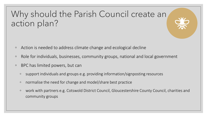## Why should the Parish Council create an action plan?

- Action is needed to address climate change and ecological decline
- Role for individuals, businesses, community groups, national and local government
- BPC has limited powers, but can
	- support individuals and groups e.g. providing information/signposting resources
	- normalise the need for change and model/share best practice
	- work with partners e.g. Cotswold District Council, Gloucestershire County Council, charities and community groups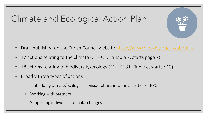# Climate and Ecological Action Plan

- Draft published on the Parish Council website <https://www.blockley.org.uk/about-3>
- 17 actions relating to the climate (C1 C17 in Table 7, starts page 7)
- 18 actions relating to biodiversity/ecology (E1 E18 in Table 8, starts p13)
- Broadly three types of actions
	- Embedding climate/ecological considerations into the activities of BPC
	- Working with partners
	- Supporting individuals to make changes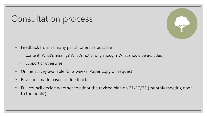### Consultation process

- Feedback from as many parishioners as possible
	- Content (What's missing? What's not strong enough? What should be excluded?)
	- Support or otherwise
- Online survey available for 2 weeks. Paper copy on request.
- Revisions made based on feedback
- Full council decide whether to adopt the revised plan on 21/10/21 (monthly meeting open to the public)